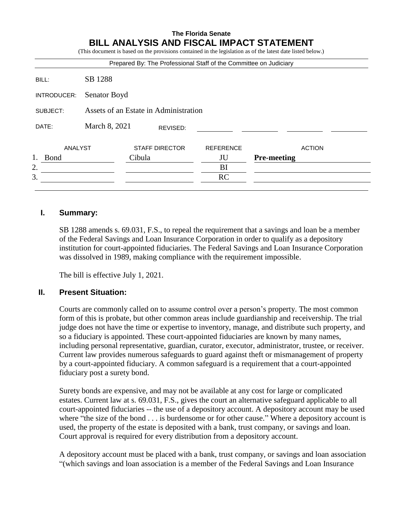# **The Florida Senate BILL ANALYSIS AND FISCAL IMPACT STATEMENT**

(This document is based on the provisions contained in the legislation as of the latest date listed below.)

|             |                                       | Prepared By: The Professional Staff of the Committee on Judiciary |                  |                    |
|-------------|---------------------------------------|-------------------------------------------------------------------|------------------|--------------------|
| BILL:       | SB 1288                               |                                                                   |                  |                    |
| INTRODUCER: | Senator Boyd                          |                                                                   |                  |                    |
| SUBJECT:    | Assets of an Estate in Administration |                                                                   |                  |                    |
| DATE:       | March 8, 2021                         | REVISED:                                                          |                  |                    |
| ANALYST     |                                       | <b>STAFF DIRECTOR</b>                                             | <b>REFERENCE</b> | <b>ACTION</b>      |
| <b>Bond</b> |                                       | Cibula                                                            | JU               | <b>Pre-meeting</b> |
| 2.          |                                       |                                                                   | BI               |                    |
| 3.          |                                       |                                                                   | <b>RC</b>        |                    |
|             |                                       |                                                                   |                  |                    |

## **I. Summary:**

SB 1288 amends s. 69.031, F.S., to repeal the requirement that a savings and loan be a member of the Federal Savings and Loan Insurance Corporation in order to qualify as a depository institution for court-appointed fiduciaries. The Federal Savings and Loan Insurance Corporation was dissolved in 1989, making compliance with the requirement impossible.

The bill is effective July 1, 2021.

#### **II. Present Situation:**

Courts are commonly called on to assume control over a person's property. The most common form of this is probate, but other common areas include guardianship and receivership. The trial judge does not have the time or expertise to inventory, manage, and distribute such property, and so a fiduciary is appointed. These court-appointed fiduciaries are known by many names, including personal representative, guardian, curator, executor, administrator, trustee, or receiver. Current law provides numerous safeguards to guard against theft or mismanagement of property by a court-appointed fiduciary. A common safeguard is a requirement that a court-appointed fiduciary post a surety bond.

Surety bonds are expensive, and may not be available at any cost for large or complicated estates. Current law at s. 69.031, F.S., gives the court an alternative safeguard applicable to all court-appointed fiduciaries -- the use of a depository account. A depository account may be used where "the size of the bond . . . is burdensome or for other cause." Where a depository account is used, the property of the estate is deposited with a bank, trust company, or savings and loan. Court approval is required for every distribution from a depository account.

A depository account must be placed with a bank, trust company, or savings and loan association "(which savings and loan association is a member of the Federal Savings and Loan Insurance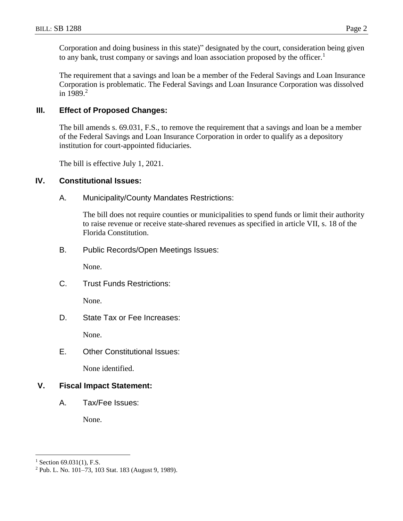Corporation and doing business in this state)" designated by the court, consideration being given to any bank, trust company or savings and loan association proposed by the officer.<sup>1</sup>

The requirement that a savings and loan be a member of the Federal Savings and Loan Insurance Corporation is problematic. The Federal Savings and Loan Insurance Corporation was dissolved in  $1989.<sup>2</sup>$ 

## **III. Effect of Proposed Changes:**

The bill amends s. 69.031, F.S., to remove the requirement that a savings and loan be a member of the Federal Savings and Loan Insurance Corporation in order to qualify as a depository institution for court-appointed fiduciaries.

The bill is effective July 1, 2021.

#### **IV. Constitutional Issues:**

A. Municipality/County Mandates Restrictions:

The bill does not require counties or municipalities to spend funds or limit their authority to raise revenue or receive state-shared revenues as specified in article VII, s. 18 of the Florida Constitution.

B. Public Records/Open Meetings Issues:

None.

C. Trust Funds Restrictions:

None.

D. State Tax or Fee Increases:

None.

E. Other Constitutional Issues:

None identified.

# **V. Fiscal Impact Statement:**

A. Tax/Fee Issues:

None.

 $\overline{a}$ 

 $1$  Section 69.031(1), F.S.

<sup>2</sup> Pub. L. No. 101–73, 103 Stat. 183 (August 9, 1989).